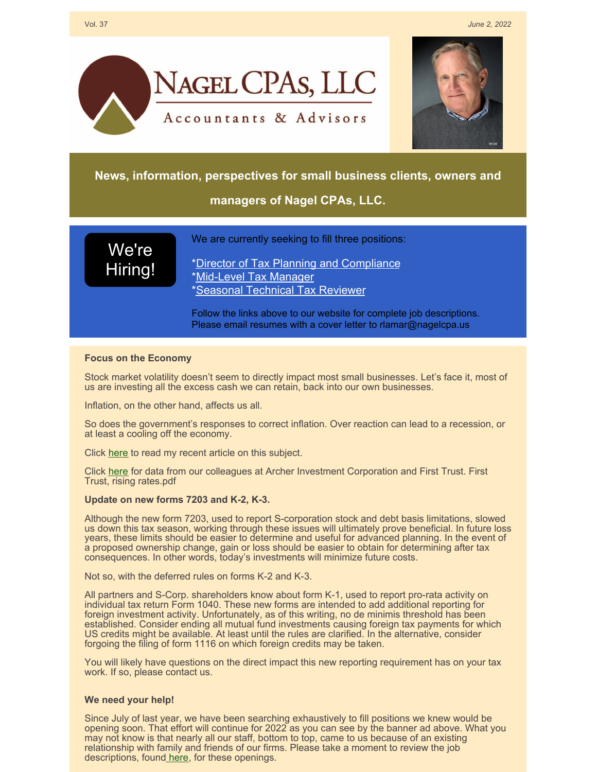



## **News, information, perspectives for small business clients, owners and**

# **managers of Nagel CPAs, LLC.**

We're [Hiring!](https://www.nagelcpa.us/employment.php) We are currently seeking to fill three positions:

\*Director of Tax Planning and [Compliance](https://www.nagelcpa.us/cpa-tax-director-senior-manager-albuquerque-rio-rancho.php) [\\*Mid-Level](https://www.nagelcpa.us/cpa-tax-preparer-manager-accountant-albuquerque-rio-rancho.php) Tax Manager \*Seasonal [Technical](https://www.nagelcpa.us/seasonal-technical-tax-reviewer-cpa-remote-albuquerque-rio-rancho.php) Tax Reviewer

Follow the links above to our website for complete job descriptions. Please email resumes with a cover letter to rlamar@nagelcpa.us

### **Focus on the Economy**

Stock market volatility doesn't seem to directly impact most small businesses. Let's face it, most of us are investing all the excess cash we can retain, back into our own businesses.

Inflation, on the other hand, affects us all.

So does the government's responses to correct inflation. Over reaction can lead to a recession, or at least a cooling off the economy.

Click [here](https://files.constantcontact.com/ad36e42d701/bcdcbf31-35c3-431e-930d-c0628e839801.pdf?rdr=true) to read my recent article on this subject.

Click [here](https://files.constantcontact.com/ad36e42d701/7b0ab106-02ec-49d7-97bc-038bf87d839d.pdf?rdr=true) for data from our colleagues at Archer Investment Corporation and First Trust. First Trust, rising rates.pdf

### **Update on new forms 7203 and K-2, K-3.**

Although the new form 7203, used to report S-corporation stock and debt basis limitations, slowed us down this tax season, working through these issues will ultimately prove beneficial. In future loss years, these limits should be easier to determine and useful for advanced planning. In the event of a proposed ownership change, gain or loss should be easier to obtain for determining after tax consequences. In other words, today's investments will minimize future costs.

Not so, with the deferred rules on forms K-2 and K-3.

All partners and S-Corp. shareholders know about form K-1, used to report pro-rata activity on individual tax return Form 1040. These new forms are intended to add additional reporting for foreign investment activity. Unfortunately, as of this writing, no de minimis threshold has been established. Consider ending all mutual fund investments causing foreign tax payments for which US credits might be available. At least until the rules are clarified. In the alternative, consider forgoing the filing of form 1116 on which foreign credits may be taken.

You will likely have questions on the direct impact this new reporting requirement has on your tax work. If so, please contact us.

### **We need your help!**

Since July of last year, we have been searching exhaustively to fill positions we knew would be opening soon. That effort will continue for 2022 as you can see by the banner ad above. What you may not know is that nearly all our staff, bottom to top, came to us because of an existing relationship with family and friends of our firms. Please take a moment to review the job descriptions, found [here](https://www.nagelcpa.us/employment.php), for these openings.